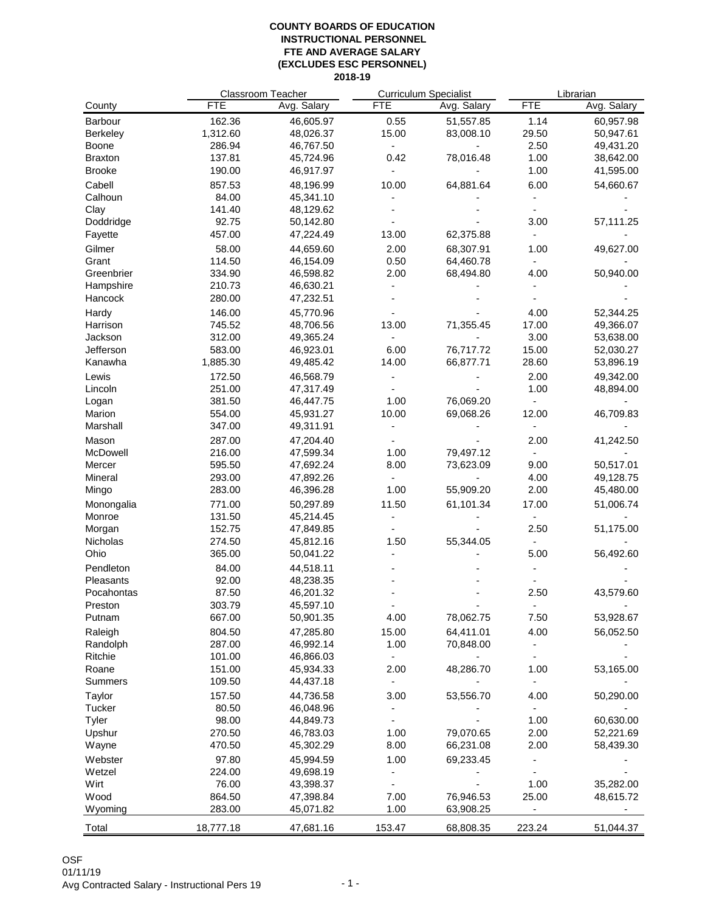|                 |            | Classroom Teacher |                              | <b>Curriculum Specialist</b> |                              | Librarian   |  |
|-----------------|------------|-------------------|------------------------------|------------------------------|------------------------------|-------------|--|
| County          | <b>FTE</b> | Avg. Salary       | <b>FTE</b>                   | Avg. Salary                  | <b>FTE</b>                   | Avg. Salary |  |
| Barbour         | 162.36     | 46,605.97         | 0.55                         | 51,557.85                    | 1.14                         | 60,957.98   |  |
| <b>Berkeley</b> | 1,312.60   | 48,026.37         | 15.00                        | 83,008.10                    | 29.50                        | 50,947.61   |  |
| Boone           | 286.94     | 46,767.50         | $\frac{1}{2}$                |                              | 2.50                         | 49,431.20   |  |
| <b>Braxton</b>  | 137.81     | 45,724.96         | 0.42                         | 78,016.48                    | 1.00                         | 38,642.00   |  |
| <b>Brooke</b>   | 190.00     | 46,917.97         |                              |                              | 1.00                         | 41,595.00   |  |
| Cabell          | 857.53     | 48,196.99         | 10.00                        | 64,881.64                    | 6.00                         | 54,660.67   |  |
| Calhoun         | 84.00      | 45,341.10         |                              |                              |                              |             |  |
| Clay            | 141.40     | 48,129.62         |                              |                              |                              |             |  |
| Doddridge       | 92.75      | 50,142.80         |                              |                              | 3.00                         | 57,111.25   |  |
| Fayette         | 457.00     | 47,224.49         | 13.00                        | 62,375.88                    |                              |             |  |
|                 |            |                   |                              |                              |                              |             |  |
| Gilmer          | 58.00      | 44,659.60         | 2.00                         | 68,307.91                    | 1.00                         | 49,627.00   |  |
| Grant           | 114.50     | 46,154.09         | 0.50                         | 64,460.78                    |                              |             |  |
| Greenbrier      | 334.90     | 46,598.82         | 2.00                         | 68,494.80                    | 4.00                         | 50,940.00   |  |
| Hampshire       | 210.73     | 46,630.21         |                              |                              |                              |             |  |
| Hancock         | 280.00     | 47,232.51         |                              |                              |                              |             |  |
| Hardy           | 146.00     | 45,770.96         |                              |                              | 4.00                         | 52,344.25   |  |
| Harrison        | 745.52     | 48,706.56         | 13.00                        | 71,355.45                    | 17.00                        | 49,366.07   |  |
| Jackson         | 312.00     | 49,365.24         |                              |                              | 3.00                         | 53,638.00   |  |
| Jefferson       | 583.00     | 46,923.01         | 6.00                         | 76,717.72                    | 15.00                        | 52,030.27   |  |
| Kanawha         | 1,885.30   | 49,485.42         | 14.00                        | 66,877.71                    | 28.60                        | 53,896.19   |  |
| Lewis           | 172.50     | 46,568.79         |                              |                              | 2.00                         | 49,342.00   |  |
| Lincoln         | 251.00     | 47,317.49         |                              |                              | 1.00                         | 48,894.00   |  |
| Logan           | 381.50     | 46,447.75         | 1.00                         | 76,069.20                    |                              |             |  |
| Marion          | 554.00     | 45,931.27         | 10.00                        | 69,068.26                    | 12.00                        | 46,709.83   |  |
| Marshall        | 347.00     | 49,311.91         |                              |                              |                              |             |  |
| Mason           | 287.00     | 47,204.40         |                              |                              | 2.00                         | 41,242.50   |  |
| McDowell        | 216.00     | 47,599.34         | 1.00                         | 79,497.12                    |                              |             |  |
| Mercer          | 595.50     | 47,692.24         | 8.00                         | 73,623.09                    | 9.00                         | 50,517.01   |  |
| Mineral         | 293.00     | 47,892.26         | $\qquad \qquad \blacksquare$ |                              | 4.00                         | 49,128.75   |  |
| Mingo           | 283.00     | 46,396.28         | 1.00                         | 55,909.20                    | 2.00                         | 45,480.00   |  |
| Monongalia      | 771.00     | 50,297.89         | 11.50                        | 61,101.34                    | 17.00                        | 51,006.74   |  |
| Monroe          | 131.50     | 45,214.45         |                              |                              |                              |             |  |
| Morgan          | 152.75     | 47,849.85         |                              |                              | 2.50                         | 51,175.00   |  |
| Nicholas        | 274.50     | 45,812.16         | 1.50                         | 55,344.05                    |                              |             |  |
| Ohio            | 365.00     | 50,041.22         |                              |                              | 5.00                         | 56,492.60   |  |
| Pendleton       | 84.00      | 44,518.11         |                              |                              |                              |             |  |
| Pleasants       | 92.00      | 48,238.35         |                              |                              |                              |             |  |
| Pocahontas      | 87.50      | 46,201.32         |                              |                              | 2.50                         | 43,579.60   |  |
| Preston         | 303.79     | 45,597.10         |                              |                              |                              |             |  |
| Putnam          | 667.00     | 50,901.35         | 4.00                         | 78,062.75                    | 7.50                         | 53,928.67   |  |
| Raleigh         | 804.50     | 47,285.80         | 15.00                        | 64,411.01                    | 4.00                         | 56,052.50   |  |
| Randolph        | 287.00     | 46,992.14         | 1.00                         | 70,848.00                    |                              |             |  |
| Ritchie         | 101.00     | 46,866.03         |                              |                              |                              |             |  |
| Roane           | 151.00     | 45,934.33         | 2.00                         | 48,286.70                    | 1.00                         | 53,165.00   |  |
| Summers         | 109.50     | 44,437.18         | $\frac{1}{2}$                |                              | $\blacksquare$               |             |  |
| Taylor          | 157.50     | 44,736.58         | 3.00                         | 53,556.70                    | 4.00                         | 50,290.00   |  |
| Tucker          | 80.50      | 46,048.96         |                              |                              | $\overline{\phantom{a}}$     |             |  |
| Tyler           | 98.00      | 44,849.73         |                              |                              | 1.00                         | 60,630.00   |  |
| Upshur          | 270.50     | 46,783.03         | 1.00                         | 79,070.65                    | 2.00                         | 52,221.69   |  |
| Wayne           | 470.50     | 45,302.29         | 8.00                         | 66,231.08                    | 2.00                         | 58,439.30   |  |
| Webster         | 97.80      | 45,994.59         | 1.00                         | 69,233.45                    |                              |             |  |
| Wetzel          | 224.00     | 49,698.19         |                              |                              |                              |             |  |
| Wirt            | 76.00      | 43,398.37         | $\qquad \qquad \blacksquare$ |                              | 1.00                         | 35,282.00   |  |
| Wood            | 864.50     | 47,398.84         | 7.00                         | 76,946.53                    | 25.00                        | 48,615.72   |  |
| Wyoming         | 283.00     | 45,071.82         | 1.00                         | 63,908.25                    | $\qquad \qquad \blacksquare$ |             |  |
| Total           | 18,777.18  | 47,681.16         | 153.47                       | 68,808.35                    | 223.24                       | 51,044.37   |  |
|                 |            |                   |                              |                              |                              |             |  |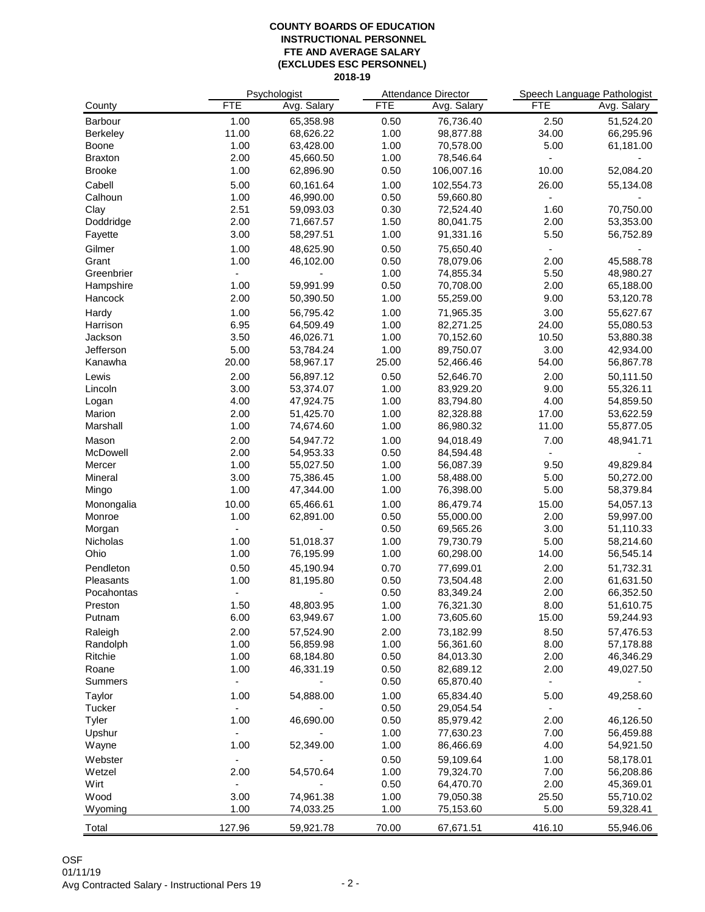|                     | Psychologist   |                        |              | Attendance Director    | Speech Language Pathologist |                        |
|---------------------|----------------|------------------------|--------------|------------------------|-----------------------------|------------------------|
| County              | <b>FTE</b>     | Avg. Salary            | <b>FTE</b>   | Avg. Salary            | <b>FTE</b>                  | Avg. Salary            |
| Barbour             | 1.00           | 65,358.98              | 0.50         | 76,736.40              | 2.50                        | 51,524.20              |
| Berkeley            | 11.00          | 68,626.22              | 1.00         | 98,877.88              | 34.00                       | 66,295.96              |
| Boone               | 1.00           | 63,428.00              | 1.00         | 70,578.00              | 5.00                        | 61,181.00              |
| <b>Braxton</b>      | 2.00           | 45,660.50              | 1.00         | 78,546.64              |                             |                        |
| <b>Brooke</b>       | 1.00           | 62,896.90              | 0.50         | 106,007.16             | 10.00                       | 52,084.20              |
| Cabell              | 5.00           | 60,161.64              | 1.00         | 102,554.73             | 26.00                       | 55,134.08              |
| Calhoun             | 1.00           | 46,990.00              | 0.50         | 59,660.80              |                             |                        |
| Clay                | 2.51           | 59,093.03              | 0.30         | 72,524.40              | 1.60                        | 70,750.00              |
| Doddridge           | 2.00           | 71,667.57              | 1.50         | 80,041.75              | 2.00                        | 53,353.00              |
| Fayette             | 3.00           | 58,297.51              | 1.00         | 91,331.16              | 5.50                        | 56,752.89              |
| Gilmer              | 1.00           | 48,625.90              | 0.50         | 75,650.40              |                             |                        |
| Grant               | 1.00           | 46,102.00              | 0.50         | 78,079.06              | 2.00                        | 45,588.78              |
| Greenbrier          |                |                        | 1.00         | 74,855.34              | 5.50                        | 48,980.27              |
| Hampshire           | 1.00           | 59,991.99              | 0.50         | 70,708.00              | 2.00                        | 65,188.00              |
| Hancock             | 2.00           | 50,390.50              | 1.00         | 55,259.00              | 9.00                        | 53,120.78              |
| Hardy               | 1.00           | 56,795.42              | 1.00         | 71,965.35              | 3.00                        | 55,627.67              |
| Harrison            | 6.95           | 64,509.49              | 1.00         | 82,271.25              | 24.00                       | 55,080.53              |
| Jackson             | 3.50           | 46,026.71              | 1.00         | 70,152.60              | 10.50                       | 53,880.38              |
| Jefferson           | 5.00           | 53,784.24              | 1.00         | 89,750.07              | 3.00                        | 42,934.00              |
| Kanawha             | 20.00          | 58,967.17              | 25.00        | 52,466.46              | 54.00                       | 56,867.78              |
| Lewis               | 2.00           | 56,897.12              | 0.50         | 52,646.70              | 2.00                        | 50,111.50              |
| Lincoln             | 3.00           | 53,374.07              | 1.00         | 83,929.20              | 9.00                        | 55,326.11              |
| Logan               | 4.00           | 47,924.75              | 1.00         | 83,794.80              | 4.00                        | 54,859.50              |
| Marion              | 2.00           | 51,425.70              | 1.00         | 82,328.88              | 17.00                       | 53,622.59              |
| Marshall            | 1.00           | 74,674.60              | 1.00         | 86,980.32              | 11.00                       | 55,877.05              |
| Mason               | 2.00           | 54,947.72              | 1.00         | 94,018.49              | 7.00                        | 48,941.71              |
| McDowell            | 2.00           | 54,953.33              | 0.50         | 84,594.48              | ÷.                          |                        |
| Mercer              | 1.00           | 55,027.50              | 1.00         | 56,087.39              | 9.50                        | 49,829.84              |
| Mineral             | 3.00           | 75,386.45              | 1.00         | 58,488.00              | 5.00                        | 50,272.00              |
| Mingo               | 1.00           | 47,344.00              | 1.00         | 76,398.00              | 5.00                        | 58,379.84              |
| Monongalia          | 10.00          | 65,466.61              | 1.00         | 86,479.74              | 15.00                       | 54,057.13              |
| Monroe              | 1.00           | 62,891.00              | 0.50         | 55,000.00              | 2.00                        | 59,997.00              |
| Morgan              |                |                        | 0.50         | 69,565.26              | 3.00                        | 51,110.33              |
| Nicholas            | 1.00           | 51,018.37              | 1.00         | 79,730.79              | 5.00                        | 58,214.60              |
| Ohio                | 1.00           | 76,195.99              | 1.00         | 60,298.00              | 14.00                       | 56,545.14              |
| Pendleton           | 0.50           | 45,190.94              | 0.70         | 77,699.01              | 2.00                        | 51,732.31              |
| Pleasants           | 1.00           | 81,195.80              | 0.50         | 73,504.48              | 2.00                        | 61,631.50              |
| Pocahontas          |                |                        | 0.50         | 83,349.24              | 2.00                        | 66,352.50              |
| Preston             | 1.50           | 48,803.95              | 1.00         | 76,321.30              | 8.00                        | 51,610.75              |
| Putnam              | 6.00           | 63,949.67              | 1.00         | 73,605.60              | 15.00                       | 59,244.93              |
|                     |                |                        |              |                        |                             |                        |
| Raleigh<br>Randolph | 2.00<br>1.00   | 57,524.90<br>56,859.98 | 2.00<br>1.00 | 73,182.99<br>56,361.60 | 8.50<br>8.00                | 57,476.53              |
| Ritchie             | 1.00           |                        | 0.50         | 84,013.30              | 2.00                        | 57,178.88              |
| Roane               | 1.00           | 68,184.80<br>46,331.19 | 0.50         | 82,689.12              | 2.00                        | 46,346.29<br>49,027.50 |
| Summers             | $\blacksquare$ |                        | 0.50         | 65,870.40              | $\overline{\phantom{a}}$    |                        |
|                     |                |                        |              |                        |                             |                        |
| Taylor              | 1.00           | 54,888.00              | 1.00         | 65,834.40              | 5.00                        | 49,258.60              |
| Tucker              | -              |                        | 0.50         | 29,054.54              | $\blacksquare$              |                        |
| Tyler               | 1.00           | 46,690.00              | 0.50         | 85,979.42              | 2.00                        | 46,126.50              |
| Upshur              | 1.00           |                        | 1.00<br>1.00 | 77,630.23              | 7.00<br>4.00                | 56,459.88              |
| Wayne               |                | 52,349.00              |              | 86,466.69              |                             | 54,921.50              |
| Webster             |                |                        | 0.50         | 59,109.64              | 1.00                        | 58,178.01              |
| Wetzel              | 2.00           | 54,570.64              | 1.00         | 79,324.70              | 7.00                        | 56,208.86              |
| Wirt                |                |                        | 0.50         | 64,470.70              | 2.00                        | 45,369.01              |
| Wood                | 3.00           | 74,961.38              | 1.00         | 79,050.38              | 25.50                       | 55,710.02              |
| Wyoming             | 1.00           | 74,033.25              | 1.00         | 75,153.60              | 5.00                        | 59,328.41              |
| Total               | 127.96         | 59,921.78              | 70.00        | 67,671.51              | 416.10                      | 55,946.06              |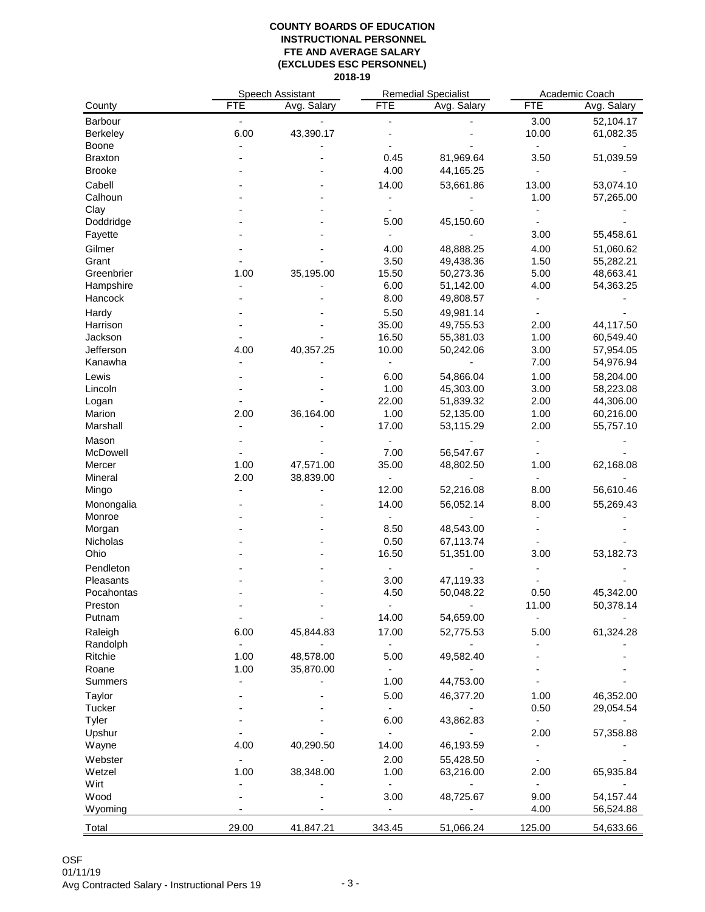|                      | Speech Assistant |             | <b>Remedial Specialist</b>   |             | Academic Coach           |             |
|----------------------|------------------|-------------|------------------------------|-------------|--------------------------|-------------|
| County               | <b>FTE</b>       | Avg. Salary | <b>FTE</b>                   | Avg. Salary | <b>FTE</b>               | Avg. Salary |
| Barbour              |                  |             |                              |             | 3.00                     | 52,104.17   |
| <b>Berkeley</b>      | 6.00             | 43,390.17   |                              |             | 10.00                    | 61,082.35   |
| <b>Boone</b>         |                  |             |                              |             | ÷                        |             |
| <b>Braxton</b>       |                  |             | 0.45                         | 81,969.64   | 3.50                     | 51,039.59   |
| <b>Brooke</b>        |                  |             | 4.00                         | 44,165.25   |                          |             |
| Cabell               |                  |             | 14.00                        | 53,661.86   | 13.00                    | 53,074.10   |
| Calhoun              |                  |             |                              |             | 1.00                     | 57,265.00   |
|                      |                  |             |                              |             |                          |             |
| Clay                 |                  |             | 5.00                         | 45,150.60   |                          |             |
| Doddridge            |                  |             |                              |             |                          |             |
| Fayette              |                  |             |                              |             | 3.00                     | 55,458.61   |
| Gilmer               |                  |             | 4.00                         | 48,888.25   | 4.00                     | 51,060.62   |
| Grant                |                  |             | 3.50                         | 49,438.36   | 1.50                     | 55,282.21   |
| Greenbrier           | 1.00             | 35,195.00   | 15.50                        | 50,273.36   | 5.00                     | 48,663.41   |
| Hampshire            |                  |             | 6.00                         | 51,142.00   | 4.00                     | 54,363.25   |
| Hancock              |                  |             | 8.00                         | 49,808.57   |                          |             |
| Hardy                |                  |             | 5.50                         | 49,981.14   |                          |             |
| Harrison             |                  |             | 35.00                        | 49,755.53   | 2.00                     | 44,117.50   |
| Jackson              |                  |             | 16.50                        | 55,381.03   | 1.00                     | 60,549.40   |
| Jefferson            | 4.00             | 40,357.25   | 10.00                        | 50,242.06   | 3.00                     | 57,954.05   |
| Kanawha              |                  |             | $\blacksquare$               |             | 7.00                     | 54,976.94   |
| Lewis                |                  |             | 6.00                         | 54,866.04   | 1.00                     | 58,204.00   |
| Lincoln              |                  |             | 1.00                         | 45,303.00   | 3.00                     | 58,223.08   |
| Logan                |                  |             | 22.00                        | 51,839.32   | 2.00                     | 44,306.00   |
| Marion               | 2.00             | 36,164.00   | 1.00                         | 52,135.00   | 1.00                     | 60,216.00   |
| Marshall             |                  |             | 17.00                        | 53,115.29   | 2.00                     | 55,757.10   |
| Mason                |                  |             |                              |             |                          |             |
| McDowell             |                  |             | 7.00                         | 56,547.67   |                          |             |
| Mercer               | 1.00             | 47,571.00   | 35.00                        | 48,802.50   | 1.00                     | 62,168.08   |
| Mineral              | 2.00             | 38,839.00   | $\qquad \qquad \blacksquare$ |             |                          |             |
| Mingo                |                  |             | 12.00                        | 52,216.08   | 8.00                     | 56,610.46   |
|                      |                  |             |                              |             | 8.00                     |             |
| Monongalia<br>Monroe |                  |             | 14.00                        | 56,052.14   |                          | 55,269.43   |
|                      |                  |             |                              |             |                          |             |
| Morgan               |                  |             | 8.50                         | 48,543.00   |                          |             |
| Nicholas<br>Ohio     |                  |             | 0.50<br>16.50                | 67,113.74   | 3.00                     | 53,182.73   |
|                      |                  |             |                              | 51,351.00   |                          |             |
| Pendleton            |                  |             | $\blacksquare$               |             |                          |             |
| Pleasants            |                  |             | 3.00                         | 47,119.33   |                          |             |
| Pocahontas           |                  |             | 4.50                         | 50,048.22   | 0.50                     | 45,342.00   |
| Preston              |                  |             |                              |             | 11.00                    | 50,378.14   |
| Putnam               |                  |             | 14.00                        | 54,659.00   |                          |             |
| Raleigh              | 6.00             | 45,844.83   | 17.00                        | 52,775.53   | 5.00                     | 61,324.28   |
| Randolph             |                  |             | $\qquad \qquad \blacksquare$ |             |                          |             |
| Ritchie              | 1.00             | 48,578.00   | 5.00                         | 49,582.40   |                          |             |
| Roane                | 1.00             | 35,870.00   |                              |             |                          |             |
| Summers              |                  |             | 1.00                         | 44,753.00   |                          |             |
| Taylor               |                  |             | 5.00                         | 46,377.20   | 1.00                     | 46,352.00   |
| Tucker               |                  |             | $\blacksquare$               |             | 0.50                     | 29,054.54   |
| Tyler                |                  |             | 6.00                         | 43,862.83   | ٠                        |             |
| Upshur               |                  |             |                              |             | 2.00                     | 57,358.88   |
| Wayne                | 4.00             | 40,290.50   | 14.00                        | 46,193.59   |                          |             |
| Webster              |                  |             | 2.00                         | 55,428.50   | $\overline{\phantom{a}}$ |             |
| Wetzel               | 1.00             | 38,348.00   | 1.00                         | 63,216.00   | 2.00                     | 65,935.84   |
| Wirt                 |                  |             | $\qquad \qquad \blacksquare$ |             | $\overline{\phantom{a}}$ |             |
| Wood                 |                  |             | 3.00                         | 48,725.67   | 9.00                     | 54,157.44   |
| Wyoming              |                  |             | ÷,                           |             | 4.00                     | 56,524.88   |
|                      |                  |             |                              |             |                          |             |
| Total                | 29.00            | 41,847.21   | 343.45                       | 51,066.24   | 125.00                   | 54,633.66   |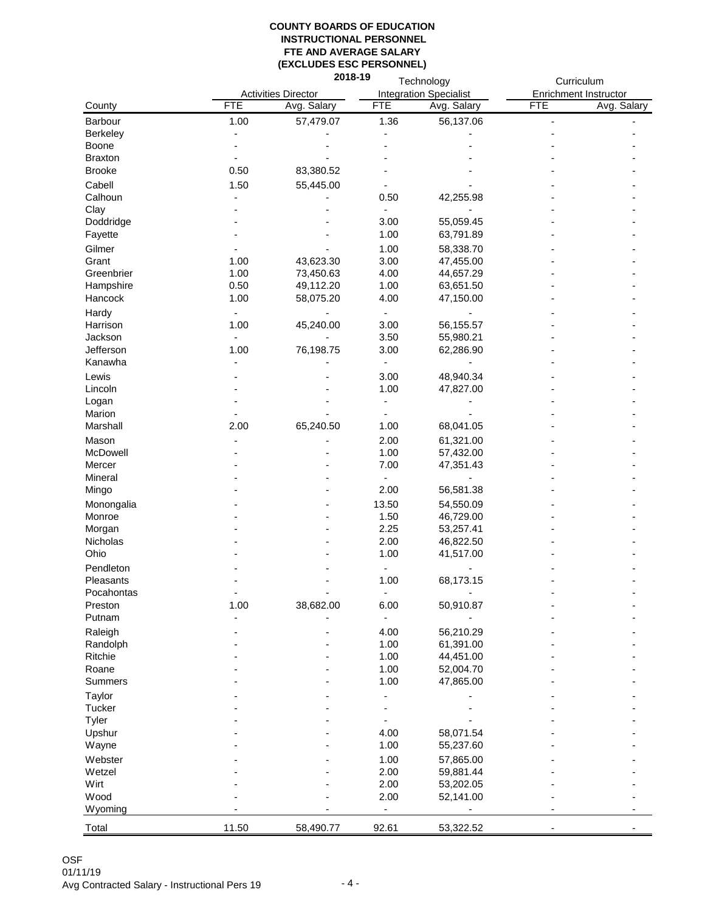|                |                          | 2018-19<br>Technology      |                          |                               | Curriculum            |             |
|----------------|--------------------------|----------------------------|--------------------------|-------------------------------|-----------------------|-------------|
|                |                          | <b>Activities Director</b> |                          | <b>Integration Specialist</b> | Enrichment Instructor |             |
| County         | <b>FTE</b>               | Avg. Salary                | <b>FTE</b>               | Avg. Salary                   | <b>FTE</b>            | Avg. Salary |
| Barbour        | 1.00                     | 57,479.07                  | 1.36                     | 56,137.06                     | L,                    |             |
| Berkeley       |                          |                            |                          |                               |                       |             |
| Boone          |                          |                            |                          |                               |                       |             |
| <b>Braxton</b> |                          |                            |                          |                               |                       |             |
|                |                          |                            |                          |                               |                       |             |
| <b>Brooke</b>  | 0.50                     | 83,380.52                  |                          |                               |                       |             |
| Cabell         | 1.50                     | 55,445.00                  |                          |                               |                       |             |
| Calhoun        |                          |                            | 0.50                     | 42,255.98                     |                       |             |
| Clay           |                          |                            | $\overline{\phantom{a}}$ |                               |                       |             |
| Doddridge      |                          |                            | 3.00                     | 55,059.45                     |                       |             |
| Fayette        |                          |                            | 1.00                     | 63,791.89                     |                       |             |
| Gilmer         |                          |                            | 1.00                     | 58,338.70                     |                       |             |
| Grant          | 1.00                     | 43,623.30                  | 3.00                     | 47,455.00                     |                       |             |
| Greenbrier     | 1.00                     | 73,450.63                  | 4.00                     | 44,657.29                     |                       |             |
| Hampshire      | 0.50                     | 49,112.20                  | 1.00                     | 63,651.50                     |                       |             |
| Hancock        | 1.00                     | 58,075.20                  | 4.00                     | 47,150.00                     |                       |             |
|                |                          |                            |                          |                               |                       |             |
| Hardy          | $\overline{\phantom{a}}$ |                            | $\frac{1}{2}$            |                               |                       |             |
| Harrison       | 1.00                     | 45,240.00                  | 3.00                     | 56,155.57                     |                       |             |
| Jackson        |                          |                            | 3.50                     | 55,980.21                     |                       |             |
| Jefferson      | 1.00                     | 76,198.75                  | 3.00                     | 62,286.90                     |                       |             |
| Kanawha        |                          |                            | $\frac{1}{2}$            |                               |                       |             |
| Lewis          |                          |                            | 3.00                     | 48,940.34                     |                       |             |
| Lincoln        |                          |                            | 1.00                     | 47,827.00                     |                       |             |
| Logan          |                          |                            |                          |                               |                       |             |
| Marion         |                          |                            |                          |                               |                       |             |
| Marshall       | 2.00                     | 65,240.50                  | 1.00                     | 68,041.05                     |                       |             |
| Mason          |                          |                            | 2.00                     | 61,321.00                     |                       |             |
| McDowell       |                          |                            | 1.00                     | 57,432.00                     |                       |             |
| Mercer         |                          |                            | 7.00                     | 47,351.43                     |                       |             |
| Mineral        |                          |                            | $\centerdot$             |                               |                       |             |
| Mingo          |                          |                            | 2.00                     | 56,581.38                     |                       |             |
|                |                          |                            |                          |                               |                       |             |
| Monongalia     |                          |                            | 13.50                    | 54,550.09                     |                       |             |
| Monroe         |                          |                            | 1.50                     | 46,729.00                     |                       |             |
| Morgan         |                          |                            | 2.25                     | 53,257.41                     |                       |             |
| Nicholas       |                          |                            | 2.00                     | 46,822.50                     |                       |             |
| Ohio           |                          |                            | 1.00                     | 41,517.00                     |                       |             |
| Pendleton      |                          |                            |                          |                               |                       |             |
| Pleasants      |                          |                            | 1.00                     | 68,173.15                     |                       |             |
| Pocahontas     |                          |                            |                          |                               |                       |             |
| Preston        | 1.00                     | 38,682.00                  | 6.00                     | 50,910.87                     |                       |             |
| Putnam         |                          |                            |                          |                               |                       |             |
| Raleigh        |                          |                            | 4.00                     | 56,210.29                     |                       |             |
| Randolph       |                          |                            | 1.00                     | 61,391.00                     |                       |             |
| Ritchie        |                          |                            | 1.00                     | 44,451.00                     |                       |             |
| Roane          |                          |                            | 1.00                     | 52,004.70                     |                       |             |
|                |                          |                            |                          |                               |                       |             |
| Summers        |                          |                            | 1.00                     | 47,865.00                     |                       |             |
| Taylor         |                          |                            |                          |                               |                       |             |
| Tucker         |                          |                            |                          |                               |                       |             |
| Tyler          |                          |                            |                          |                               |                       |             |
| Upshur         |                          |                            | 4.00                     | 58,071.54                     |                       |             |
| Wayne          |                          |                            | 1.00                     | 55,237.60                     |                       |             |
| Webster        |                          |                            | 1.00                     | 57,865.00                     |                       |             |
| Wetzel         |                          |                            | 2.00                     | 59,881.44                     |                       |             |
| Wirt           |                          |                            | 2.00                     | 53,202.05                     |                       |             |
| Wood           |                          |                            | 2.00                     | 52,141.00                     |                       |             |
| Wyoming        |                          |                            | $\frac{1}{2}$            |                               |                       |             |
|                |                          |                            |                          |                               |                       |             |
| Total          | 11.50                    | 58,490.77                  | 92.61                    | 53,322.52                     |                       |             |